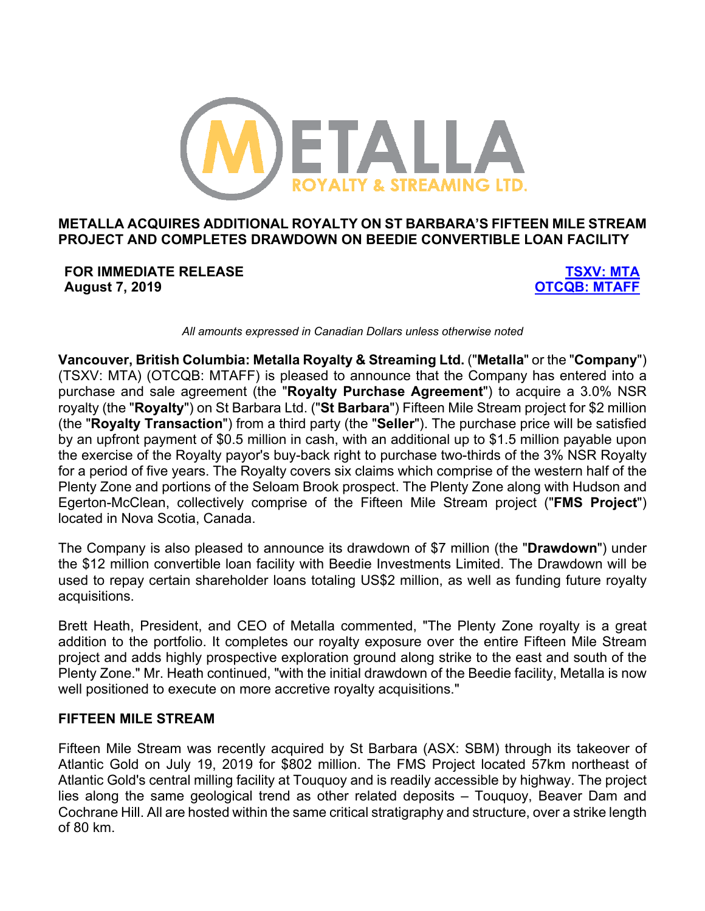

# **METALLA ACQUIRES ADDITIONAL ROYALTY ON ST BARBARA'S FIFTEEN MILE STREAM PROJECT AND COMPLETES DRAWDOWN ON BEEDIE CONVERTIBLE LOAN FACILITY**

**FOR IMMEDIATE RELEASE TSXV: MTA August 7, 2019 OTCQB: MTAFF**

*All amounts expressed in Canadian Dollars unless otherwise noted*

**Vancouver, British Columbia: Metalla Royalty & Streaming Ltd.** ("**Metalla**" or the "**Company**") (TSXV: MTA) (OTCQB: MTAFF) is pleased to announce that the Company has entered into a purchase and sale agreement (the "**Royalty Purchase Agreement**") to acquire a 3.0% NSR royalty (the "**Royalty**") on St Barbara Ltd. ("**St Barbara**") Fifteen Mile Stream project for \$2 million (the "**Royalty Transaction**") from a third party (the "**Seller**"). The purchase price will be satisfied by an upfront payment of \$0.5 million in cash, with an additional up to \$1.5 million payable upon the exercise of the Royalty payor's buy-back right to purchase two-thirds of the 3% NSR Royalty for a period of five years. The Royalty covers six claims which comprise of the western half of the Plenty Zone and portions of the Seloam Brook prospect. The Plenty Zone along with Hudson and Egerton-McClean, collectively comprise of the Fifteen Mile Stream project ("**FMS Project**") located in Nova Scotia, Canada.

The Company is also pleased to announce its drawdown of \$7 million (the "**Drawdown**") under the \$12 million convertible loan facility with Beedie Investments Limited. The Drawdown will be used to repay certain shareholder loans totaling US\$2 million, as well as funding future royalty acquisitions.

Brett Heath, President, and CEO of Metalla commented, "The Plenty Zone royalty is a great addition to the portfolio. It completes our royalty exposure over the entire Fifteen Mile Stream project and adds highly prospective exploration ground along strike to the east and south of the Plenty Zone." Mr. Heath continued, "with the initial drawdown of the Beedie facility, Metalla is now well positioned to execute on more accretive royalty acquisitions."

#### **FIFTEEN MILE STREAM**

Fifteen Mile Stream was recently acquired by St Barbara (ASX: SBM) through its takeover of Atlantic Gold on July 19, 2019 for \$802 million. The FMS Project located 57km northeast of Atlantic Gold's central milling facility at Touquoy and is readily accessible by highway. The project lies along the same geological trend as other related deposits – Touquoy, Beaver Dam and Cochrane Hill. All are hosted within the same critical stratigraphy and structure, over a strike length of 80 km.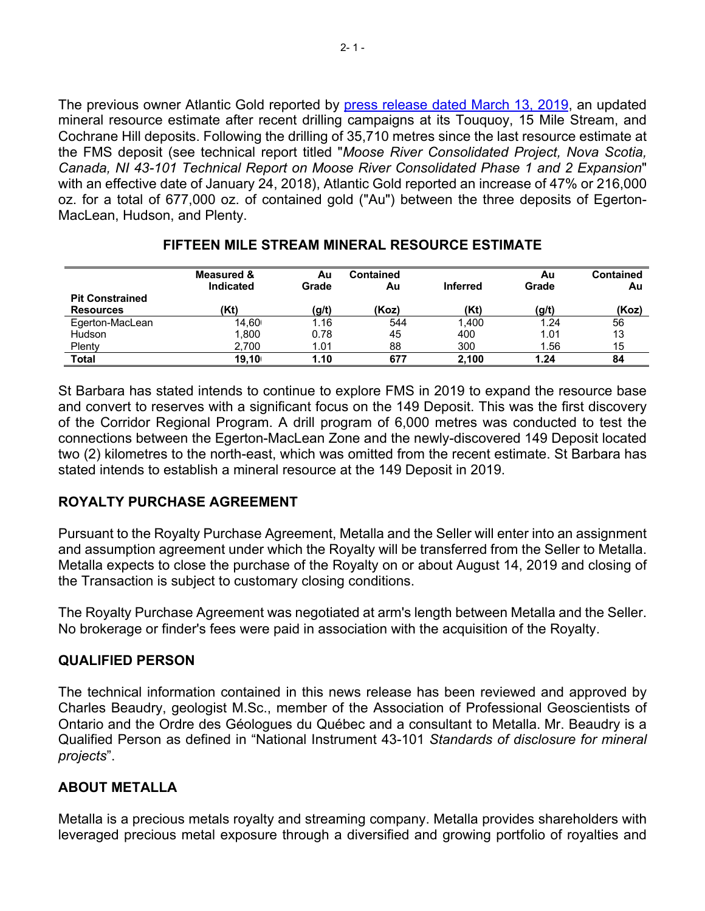The previous owner Atlantic Gold reported by press release dated March 13, 2019, an updated mineral resource estimate after recent drilling campaigns at its Touquoy, 15 Mile Stream, and Cochrane Hill deposits. Following the drilling of 35,710 metres since the last resource estimate at the FMS deposit (see technical report titled "*Moose River Consolidated Project, Nova Scotia, Canada, NI 43-101 Technical Report on Moose River Consolidated Phase 1 and 2 Expansion*" with an effective date of January 24, 2018), Atlantic Gold reported an increase of 47% or 216,000 oz. for a total of 677,000 oz. of contained gold ("Au") between the three deposits of Egerton-MacLean, Hudson, and Plenty.

|                        | Measured &<br>Indicated | Αu<br>Grade | <b>Contained</b><br>Au | <b>Inferred</b> | Au<br>Grade | <b>Contained</b><br>Au |
|------------------------|-------------------------|-------------|------------------------|-----------------|-------------|------------------------|
| <b>Pit Constrained</b> | (Kt)                    |             | (Koz)                  | (Kt)            |             | (Koz)                  |
| <b>Resources</b>       |                         | (g/t)       |                        |                 | (g/t)       |                        |
| Egerton-MacLean        | 14.60                   | 1.16        | 544                    | 1.400           | 1.24        | 56                     |
| Hudson                 | 1.800                   | 0.78        | 45                     | 400             | 1.01        | 13                     |
| Plenty                 | 2.700                   | 1.01        | 88                     | 300             | 1.56        | 15                     |
| Total                  | 19.10                   | 1.10        | 677                    | 2.100           | 1.24        | 84                     |

# **FIFTEEN MILE STREAM MINERAL RESOURCE ESTIMATE**

St Barbara has stated intends to continue to explore FMS in 2019 to expand the resource base and convert to reserves with a significant focus on the 149 Deposit. This was the first discovery of the Corridor Regional Program. A drill program of 6,000 metres was conducted to test the connections between the Egerton-MacLean Zone and the newly-discovered 149 Deposit located two (2) kilometres to the north-east, which was omitted from the recent estimate. St Barbara has stated intends to establish a mineral resource at the 149 Deposit in 2019.

# **ROYALTY PURCHASE AGREEMENT**

Pursuant to the Royalty Purchase Agreement, Metalla and the Seller will enter into an assignment and assumption agreement under which the Royalty will be transferred from the Seller to Metalla. Metalla expects to close the purchase of the Royalty on or about August 14, 2019 and closing of the Transaction is subject to customary closing conditions.

The Royalty Purchase Agreement was negotiated at arm's length between Metalla and the Seller. No brokerage or finder's fees were paid in association with the acquisition of the Royalty.

# **QUALIFIED PERSON**

The technical information contained in this news release has been reviewed and approved by Charles Beaudry, geologist M.Sc., member of the Association of Professional Geoscientists of Ontario and the Ordre des Géologues du Québec and a consultant to Metalla. Mr. Beaudry is a Qualified Person as defined in "National Instrument 43-101 *Standards of disclosure for mineral projects*".

# **ABOUT METALLA**

Metalla is a precious metals royalty and streaming company. Metalla provides shareholders with leveraged precious metal exposure through a diversified and growing portfolio of royalties and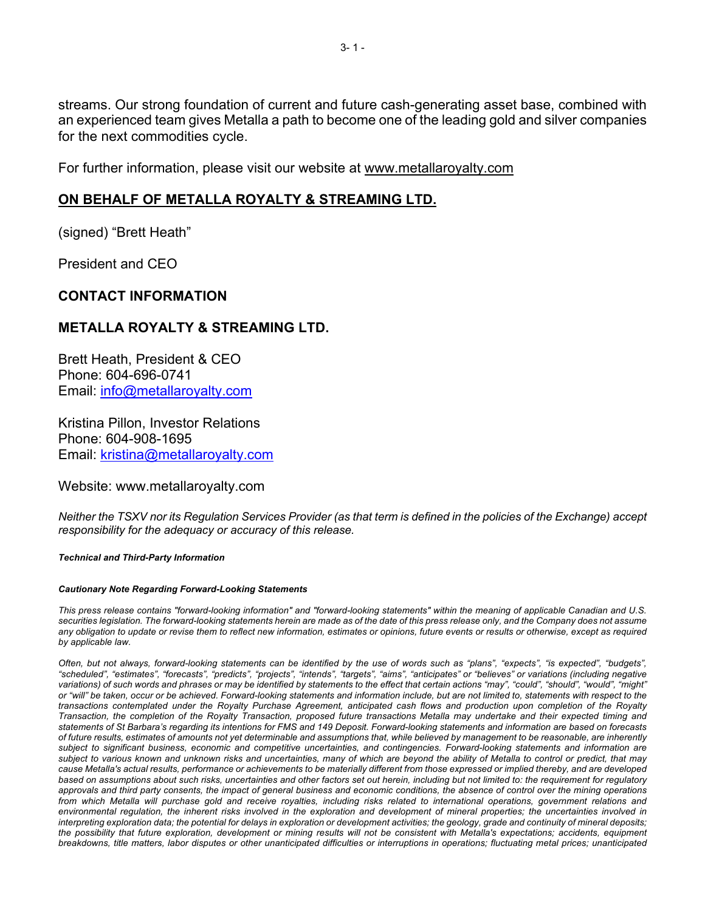streams. Our strong foundation of current and future cash-generating asset base, combined with an experienced team gives Metalla a path to become one of the leading gold and silver companies for the next commodities cycle.

For further information, please visit our website at www.metallaroyalty.com

# **ON BEHALF OF METALLA ROYALTY & STREAMING LTD.**

(signed) "Brett Heath"

President and CEO

### **CONTACT INFORMATION**

### **METALLA ROYALTY & STREAMING LTD.**

Brett Heath, President & CEO Phone: 604-696-0741 Email: info@metallaroyalty.com

Kristina Pillon, Investor Relations Phone: 604-908-1695 Email: kristina@metallaroyalty.com

#### Website: www.metallaroyalty.com

*Neither the TSXV nor its Regulation Services Provider (as that term is defined in the policies of the Exchange) accept responsibility for the adequacy or accuracy of this release.*

# *Technical and Third-Party Information*

# *Cautionary Note Regarding Forward-Looking Statements*

*This press release contains "forward-looking information" and "forward-looking statements" within the meaning of applicable Canadian and U.S. securities legislation. The forward-looking statements herein are made as of the date of this press release only, and the Company does not assume*  any obligation to update or revise them to reflect new information, estimates or opinions, future events or results or otherwise, except as required *by applicable law.* Ĩ

*Often, but not always, forward-looking statements can be identified by the use of words such as "plans", "expects", "is expected", "budgets", "scheduled", "estimates", "forecasts", "predicts", "projects", "intends", "targets", "aims", "anticipates" or "believes" or variations (including negative variations) of such words and phrases or may be identified by statements to the effect that certain actions "may", "could", "should", "would", "might" or "will" be taken, occur or be achieved. Forward-looking statements and information include, but are not limited to, statements with respect to the transactions contemplated under the Royalty Purchase Agreement, anticipated cash flows and production upon completion of the Royalty Transaction, the completion of the Royalty Transaction, proposed future transactions Metalla may undertake and their expected timing and statements of St Barbara's regarding its intentions for FMS and 149 Deposit. Forward-looking statements and information are based on forecasts of future results, estimates of amounts not yet determinable and assumptions that, while believed by management to be reasonable, are inherently subject to significant business, economic and competitive uncertainties, and contingencies. Forward-looking statements and information are subject to various known and unknown risks and uncertainties, many of which are beyond the ability of Metalla to control or predict, that may cause Metalla's actual results, performance or achievements to be materially different from those expressed or implied thereby, and are developed based on assumptions about such risks, uncertainties and other factors set out herein, including but not limited to: the requirement for regulatory approvals and third party consents, the impact of general business and economic conditions, the absence of control over the mining operations from which Metalla will purchase gold and receive royalties, including risks related to international operations, government relations and environmental regulation, the inherent risks involved in the exploration and development of mineral properties; the uncertainties involved in interpreting exploration data; the potential for delays in exploration or development activities; the geology, grade and continuity of mineral deposits; the possibility that future exploration, development or mining results will not be consistent with Metalla's expectations; accidents, equipment breakdowns, title matters, labor disputes or other unanticipated difficulties or interruptions in operations; fluctuating metal prices; unanticipated*